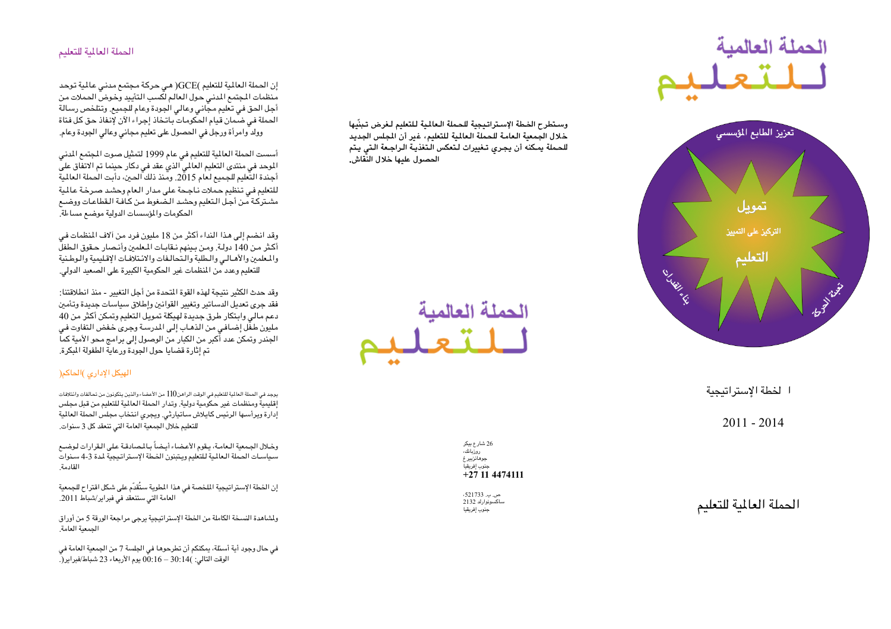## الحملة العالمية للتعليم

إن الحملة العالمية للتعليم )GCE( هي حركة مجتمع مدني عالمية توحد منظمات المجتمع المدنى حول العالم لكسب التأييد وخوض الحملات من أجل الحق في تعليم مجاني وعالى الجودة وعام للجميع. وتتلخص رسالة الحملة في ضمان قيام الحكومات باتخاذ إجراء الآن لإنفاذ حق كل فتاة وولد وامرأة ورجل فى الحصول على تعليم مجانى وعالى الجودة وعام.

أسست الحملة العالمية للتعليم في عام 1999 لتمثيل صوت المجتمع المدنى الموحد في منتدى التعليم العالمي الذي عقد في دكار حينما تم الاتفاق على أجندة التعليم للجميع لعام 2015. ومنذ ذلك الحين، دأبت الحملة العالمية للتعليم في تنظيم حملات ناجحة على مدار العام وحشد صرخة عالمية مشتركة من أجل التعليم وحشد الضغوط من كافة القطاعات ووضم الحكومات والمؤسسات الدولية موضع مساءلة.

وقد انضم إلى هذا النداء أكثر من 18 مليون فرد من آلاف المنظمات في أكثر من 140 دولة. ومن بينهم نقابات المعلمين وأنصار حقوق الطفلّ والمعلمين والأهـالـى والـطلبة والـتحالـفات والائـتلافـات الإقـليمية والـوطـنية للتعليم وعدد من المنظمات غير الحكومية الكبيرة على الصعيد الدولى.

وقد حدث الكثير نتيجة لهذه القوة المتحدة من أجل التغيير - منذ انطلاقتنا: فقد جرى تعديل الدساتير وتغيير القوانين وإطلاق سياسات جديدة وتأمين دعم مالي وابتكار طرق جديدة لهيكلة تمويل التعليم وتمكن أكثر من 40 مليون طفَّل إضـافـي من الذهـاب إلـي المدرسـة وجرى خـفض التفاوت فـي الجندر وتمكن عدد أَّكبر من الكبار من الوصول إلى برامج محو الأمية كماًّ تم إثارة قضايا حول الجودة ورعاية الطفولة المكرة.

## الهيكل الإدارى )الحاكم(

يوجد في الحملة العالمية للتعليم في الوقت الراهن()[1 من الأعضاء والذين يتكونون من تحالفات وائتلافات إقليمية ومنظمات غير حكومية دولية. وتدار الحملة العالمية للتعليم من قبل مجلس إدارة ويرأسها الرئيس كايلاش ساتيارثى. ويجرى انتخاب مجلس الحملة العالمية للتعليم خلال الجمعية العامة التي تنعقد كل 3 سنوات.

وخلال الجمعية العامة، يقوم الأعضاء أيضاً بالمصادقة على القرارات لوضع .<br>سياسات الحملة العالمية للتعليم ويتبنون الخطة الإستراتيجية لمدة 3-4 سنوات القادمة

إن الخطة الإستراتيجية الملخصة في هذا المطوية ستُقدّم على شكل اقتراح للجمعية العامة التي ستنعقد في فبراير/شباط 2011.

ولشاهدة النسخة الكاملة من الخطة الإستراتيجية يرجى مراجعة الورقة 5 من أوراق الحمعية العامة

في حال وجود أية أسئلة، يمكنكم أن تطرحوها في الجلسة 7 من الجمعية العامة في الوقت التالي: )14:30 – 06:16 يوم الأربعاء 23 شباط/فبراير(.

## وستطرح الخطة الإستراتيجية للحملة العالية للتعليم لغرض تبنّيها

خلال الجمعية العامة للحملة العالمية للتعليم، غير أن الجلس الجديد للحملة يمكنه أن يجرى تغييرات لتعكس التغذية الراجعة التي يتم الحصول عليها خلال النّقاش.



الحملة العالمية



الخطة الإستراتيجية

 $2011 - 2014$ 

26 شارع بيكر روزبانك،<br>روزبانك، ۔<br>جوھائزبیر غ جنوب إفريقياً  $+27$  11 4474111

 $.521733$  ص ساكسونوارلد 2132 جنوب إفريقيا

الحملة العالمية للتعليم